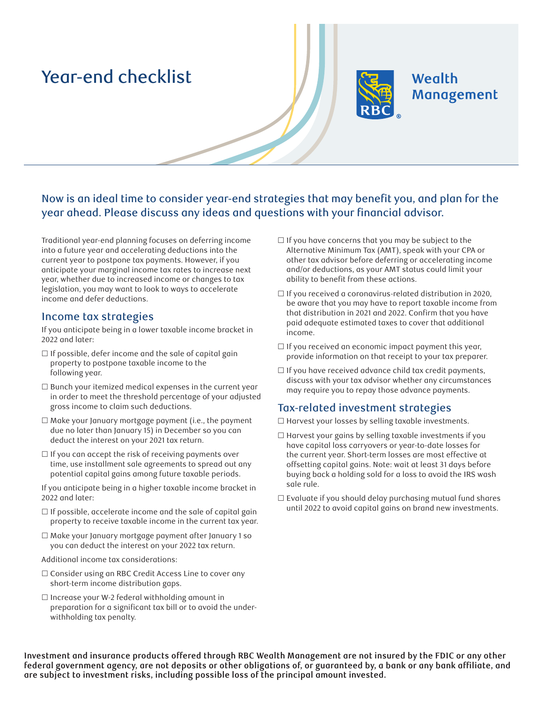# Year-end checklist



# Wealth Management

Now is an ideal time to consider year-end strategies that may benefit you, and plan for the year ahead. Please discuss any ideas and questions with your financial advisor.

Traditional year-end planning focuses on deferring income into a future year and accelerating deductions into the current year to postpone tax payments. However, if you anticipate your marginal income tax rates to increase next year, whether due to increased income or changes to tax legislation, you may want to look to ways to accelerate income and defer deductions.

#### Income tax strategies

If you anticipate being in a lower taxable income bracket in 2022 and later:

- $\Box$  If possible, defer income and the sale of capital gain property to postpone taxable income to the following year.
- $\Box$  Bunch your itemized medical expenses in the current year in order to meet the threshold percentage of your adjusted gross income to claim such deductions.
- $\Box$  Make your January mortgage payment (i.e., the payment due no later than January 15) in December so you can deduct the interest on your 2021 tax return.
- $\Box$  If you can accept the risk of receiving payments over time, use installment sale agreements to spread out any potential capital gains among future taxable periods.
- If you anticipate being in a higher taxable income bracket in 2022 and later:
- $\Box$  If possible, accelerate income and the sale of capital gain property to receive taxable income in the current tax year.
- Make your January mortgage payment after January 1 so you can deduct the interest on your 2022 tax return.
- Additional income tax considerations:
- $\Box$  Consider using an RBC Credit Access Line to cover any short-term income distribution gaps.
- $\Box$  Increase your W-2 federal withholding amount in preparation for a significant tax bill or to avoid the underwithholding tax penalty.
- $\Box$  If you have concerns that you may be subject to the Alternative Minimum Tax (AMT), speak with your CPA or other tax advisor before deferring or accelerating income and/or deductions, as your AMT status could limit your ability to benefit from these actions.
- $\Box$  If you received a coronavirus-related distribution in 2020, be aware that you may have to report taxable income from that distribution in 2021 and 2022. Confirm that you have paid adequate estimated taxes to cover that additional income.
- $\Box$  If you received an economic impact payment this year, provide information on that receipt to your tax preparer.
- $\Box$  If you have received advance child tax credit payments, discuss with your tax advisor whether any circumstances may require you to repay those advance payments.

#### Tax-related investment strategies

- $\Box$  Harvest your losses by selling taxable investments.
- $\Box$  Harvest your gains by selling taxable investments if you have capital loss carryovers or year-to-date losses for the current year. Short-term losses are most effective at offsetting capital gains. Note: wait at least 31 days before buying back a holding sold for a loss to avoid the IRS wash sale rule.
- $\Box$  Evaluate if you should delay purchasing mutual fund shares until 2022 to avoid capital gains on brand new investments.

**Investment and insurance products offered through RBC Wealth Management are not insured by the FDIC or any other**  federal government agency, are not deposits or other obligations of, or guaranteed by, a bank or any bank affiliate, and **are subject to investment risks, including possible loss of the principal amount invested.**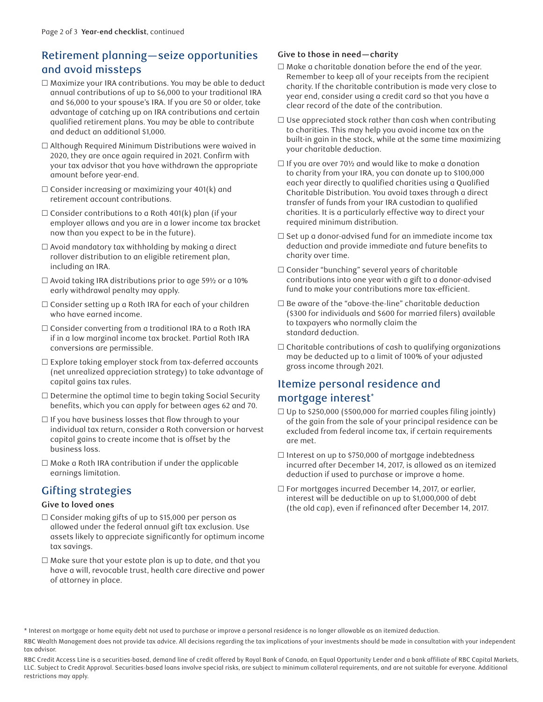## Retirement planning—seize opportunities and avoid missteps

- $\Box$  Maximize your IRA contributions. You may be able to deduct annual contributions of up to \$6,000 to your traditional IRA and \$6,000 to your spouse's IRA. If you are 50 or older, take advantage of catching up on IRA contributions and certain qualified retirement plans. You may be able to contribute and deduct an additional \$1,000.
- Although Required Minimum Distributions were waived in 2020, they are once again required in 2021. Confirm with your tax advisor that you have withdrawn the appropriate amount before year-end.
- $\Box$  Consider increasing or maximizing your 401(k) and retirement account contributions.
- $\Box$  Consider contributions to a Roth 401(k) plan (if your employer allows and you are in a lower income tax bracket now than you expect to be in the future).
- $\Box$  Avoid mandatory tax withholding by making a direct rollover distribution to an eligible retirement plan, including an IRA.
- $\Box$  Avoid taking IRA distributions prior to age 59 $\frac{1}{2}$  or a 10% early withdrawal penalty may apply.
- $\Box$  Consider setting up a Roth IRA for each of your children who have earned income.
- □ Consider converting from a traditional IRA to a Roth IRA if in a low marginal income tax bracket. Partial Roth IRA conversions are permissible.
- $\Box$  Explore taking employer stock from tax-deferred accounts (net unrealized appreciation strategy) to take advantage of capital gains tax rules.
- $\Box$  Determine the optimal time to begin taking Social Security benefits, which you can apply for between ages 62 and 70.
- $\Box$  If you have business losses that flow through to your individual tax return, consider a Roth conversion or harvest capital gains to create income that is offset by the business loss.
- $\Box$  Make a Roth IRA contribution if under the applicable earnings limitation.

## Gifting strategies

#### **Give to loved ones**

- $\Box$  Consider making gifts of up to \$15,000 per person as allowed under the federal annual gift tax exclusion. Use assets likely to appreciate significantly for optimum income tax savings.
- $\Box$  Make sure that your estate plan is up to date, and that you have a will, revocable trust, health care directive and power of attorney in place.

#### **Give to those in need—charity**

- $\Box$  Make a charitable donation before the end of the year. Remember to keep all of your receipts from the recipient charity. If the charitable contribution is made very close to year end, consider using a credit card so that you have a clear record of the date of the contribution.
- $\square$  Use appreciated stock rather than cash when contributing to charities. This may help you avoid income tax on the built-in gain in the stock, while at the same time maximizing your charitable deduction.
- $\Box$  If you are over 70½ and would like to make a donation to charity from your IRA, you can donate up to \$100,000 each year directly to qualified charities using a Qualified Charitable Distribution. You avoid taxes through a direct transfer of funds from your IRA custodian to qualified charities. It is a particularly effective way to direct your required minimum distribution.
- $\Box$  Set up a donor-advised fund for an immediate income tax deduction and provide immediate and future benefits to charity over time.
- $\square$  Consider "bunching" several years of charitable contributions into one year with a gift to a donor-advised fund to make your contributions more tax-efficient.
- $\square$  Be aware of the "above-the-line" charitable deduction (\$300 for individuals and \$600 for married filers) available to taxpayers who normally claim the standard deduction.
- $\Box$  Charitable contributions of cash to qualifying organizations may be deducted up to a limit of 100% of your adjusted gross income through 2021.

## Itemize personal residence and mortgage interest\*

- $\Box$  Up to \$250,000 (\$500,000 for married couples filing jointly) of the gain from the sale of your principal residence can be excluded from federal income tax, if certain requirements are met.
- $\Box$  Interest on up to \$750,000 of mortgage indebtedness incurred after December 14, 2017, is allowed as an itemized deduction if used to purchase or improve a home.
- $\Box$  For mortgages incurred December 14, 2017, or earlier, interest will be deductible on up to \$1,000,000 of debt (the old cap), even if refinanced after December 14, 2017.

<sup>\*</sup> Interest on mortgage or home equity debt not used to purchase or improve a personal residence is no longer allowable as an itemized deduction.

RBC Wealth Management does not provide tax advice. All decisions regarding the tax implications of your investments should be made in consultation with your independent tax advisor.

RBC Credit Access Line is a securities-based, demand line of credit offered by Royal Bank of Canada, an Equal Opportunity Lender and a bank affiliate of RBC Capital Markets, LLC. Subject to Credit Approval. Securities-based loans involve special risks, are subject to minimum collateral requirements, and are not suitable for everyone. Additional restrictions may apply.